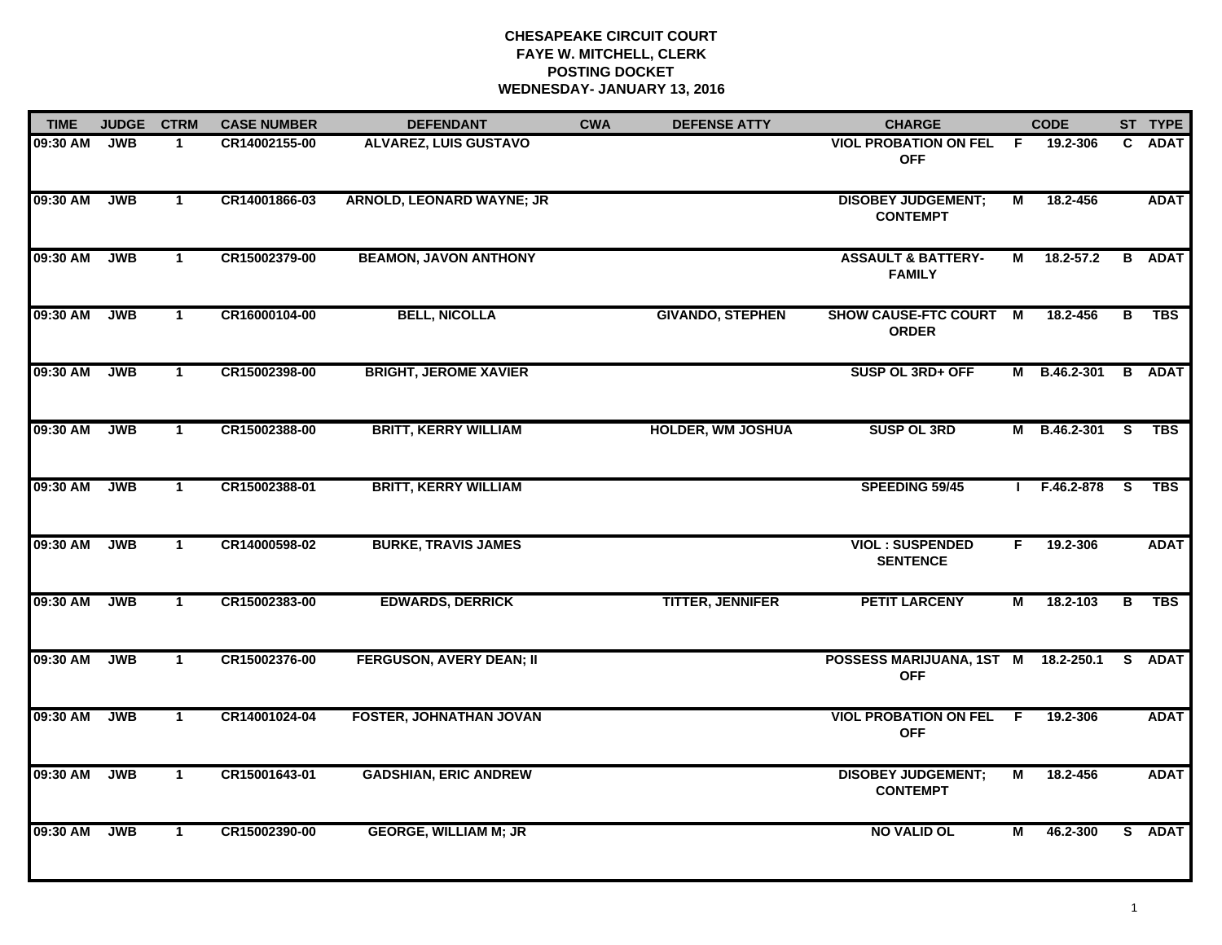| <b>TIME</b> | <b>JUDGE</b> | <b>CTRM</b>  | <b>CASE NUMBER</b> | <b>DEFENDANT</b>                | <b>CWA</b> | <b>DEFENSE ATTY</b>      | <b>CHARGE</b>                                  |    | <b>CODE</b>   |                         | ST TYPE       |
|-------------|--------------|--------------|--------------------|---------------------------------|------------|--------------------------|------------------------------------------------|----|---------------|-------------------------|---------------|
| 09:30 AM    | <b>JWB</b>   | 1            | CR14002155-00      | <b>ALVAREZ, LUIS GUSTAVO</b>    |            |                          | <b>VIOL PROBATION ON FEL</b><br><b>OFF</b>     | F. | 19.2-306      | C.                      | <b>ADAT</b>   |
| 09:30 AM    | <b>JWB</b>   | $\mathbf{1}$ | CR14001866-03      | ARNOLD, LEONARD WAYNE; JR       |            |                          | <b>DISOBEY JUDGEMENT;</b><br><b>CONTEMPT</b>   | М  | 18.2-456      |                         | <b>ADAT</b>   |
| 09:30 AM    | <b>JWB</b>   | $\mathbf{1}$ | CR15002379-00      | <b>BEAMON, JAVON ANTHONY</b>    |            |                          | <b>ASSAULT &amp; BATTERY-</b><br><b>FAMILY</b> | М  | $18.2 - 57.2$ |                         | <b>B</b> ADAT |
| 09:30 AM    | <b>JWB</b>   | $\mathbf{1}$ | CR16000104-00      | <b>BELL, NICOLLA</b>            |            | <b>GIVANDO, STEPHEN</b>  | SHOW CAUSE-FTC COURT M<br><b>ORDER</b>         |    | 18.2-456      | В                       | <b>TBS</b>    |
| 09:30 AM    | <b>JWB</b>   | $\mathbf{1}$ | CR15002398-00      | <b>BRIGHT, JEROME XAVIER</b>    |            |                          | SUSP OL 3RD+ OFF                               | М  | B.46.2-301    |                         | <b>B</b> ADAT |
| 09:30 AM    | <b>JWB</b>   | $\mathbf 1$  | CR15002388-00      | <b>BRITT, KERRY WILLIAM</b>     |            | <b>HOLDER, WM JOSHUA</b> | <b>SUSP OL 3RD</b>                             | М  | B.46.2-301    | -S                      | <b>TBS</b>    |
| 09:30 AM    | <b>JWB</b>   | $\mathbf{1}$ | CR15002388-01      | <b>BRITT, KERRY WILLIAM</b>     |            |                          | <b>SPEEDING 59/45</b>                          |    | F.46.2-878    | $\overline{\mathbf{s}}$ | <b>TBS</b>    |
| 09:30 AM    | <b>JWB</b>   | $\mathbf{1}$ | CR14000598-02      | <b>BURKE, TRAVIS JAMES</b>      |            |                          | <b>VIOL: SUSPENDED</b><br><b>SENTENCE</b>      | F. | 19.2-306      |                         | <b>ADAT</b>   |
| 09:30 AM    | <b>JWB</b>   | $\mathbf{1}$ | CR15002383-00      | <b>EDWARDS, DERRICK</b>         |            | <b>TITTER, JENNIFER</b>  | <b>PETIT LARCENY</b>                           | М  | 18.2-103      | В                       | <b>TBS</b>    |
| 09:30 AM    | <b>JWB</b>   | $\mathbf{1}$ | CR15002376-00      | <b>FERGUSON, AVERY DEAN; II</b> |            |                          | POSSESS MARIJUANA, 1ST M<br><b>OFF</b>         |    | 18.2-250.1    |                         | S ADAT        |
| 09:30 AM    | <b>JWB</b>   | $\mathbf{1}$ | CR14001024-04      | <b>FOSTER, JOHNATHAN JOVAN</b>  |            |                          | <b>VIOL PROBATION ON FEL</b><br><b>OFF</b>     | F. | 19.2-306      |                         | <b>ADAT</b>   |
| 09:30 AM    | <b>JWB</b>   | $\mathbf{1}$ | CR15001643-01      | <b>GADSHIAN, ERIC ANDREW</b>    |            |                          | <b>DISOBEY JUDGEMENT;</b><br><b>CONTEMPT</b>   | М  | 18.2-456      |                         | <b>ADAT</b>   |
| 09:30 AM    | <b>JWB</b>   | $\mathbf{1}$ | CR15002390-00      | <b>GEORGE, WILLIAM M; JR</b>    |            |                          | <b>NO VALID OL</b>                             | М  | 46.2-300      |                         | S ADAT        |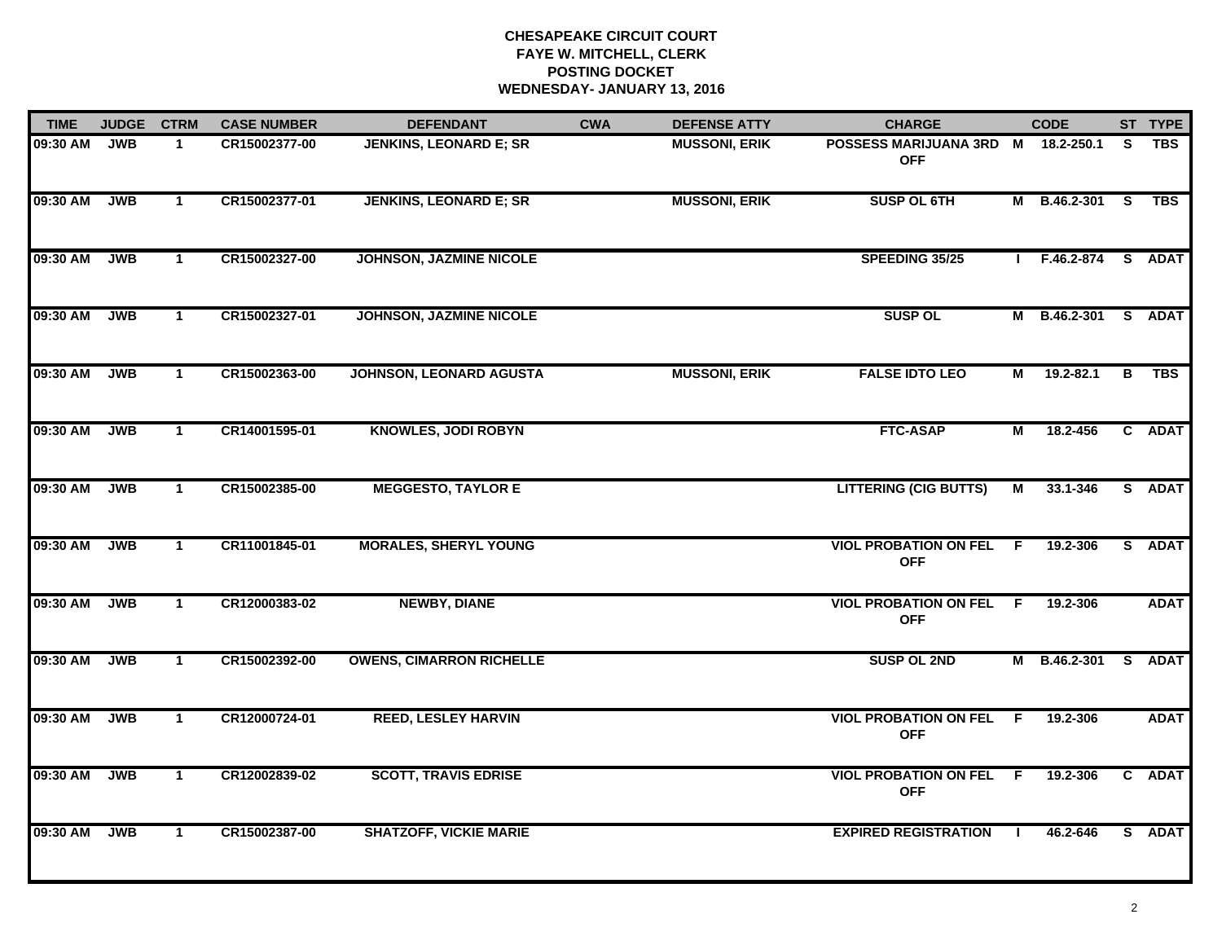| <b>TIME</b> | <b>JUDGE</b> | <b>CTRM</b>  | <b>CASE NUMBER</b> | <b>DEFENDANT</b>                | <b>CWA</b> | <b>DEFENSE ATTY</b>  | <b>CHARGE</b>                                    |                | <b>CODE</b>    |    | ST TYPE     |
|-------------|--------------|--------------|--------------------|---------------------------------|------------|----------------------|--------------------------------------------------|----------------|----------------|----|-------------|
| 09:30 AM    | <b>JWB</b>   | $\mathbf{1}$ | CR15002377-00      | JENKINS, LEONARD E; SR          |            | <b>MUSSONI, ERIK</b> | POSSESS MARIJUANA 3RD M 18.2-250.1<br><b>OFF</b> |                |                | S. | <b>TBS</b>  |
| 09:30 AM    | <b>JWB</b>   | $\mathbf{1}$ | CR15002377-01      | <b>JENKINS, LEONARD E; SR</b>   |            | <b>MUSSONI, ERIK</b> | <b>SUSP OL 6TH</b>                               |                | M B.46.2-301 S |    | <b>TBS</b>  |
| 09:30 AM    | <b>JWB</b>   | $\mathbf{1}$ | CR15002327-00      | <b>JOHNSON, JAZMINE NICOLE</b>  |            |                      | SPEEDING 35/25                                   |                | F.46.2-874     |    | S ADAT      |
| 09:30 AM    | <b>JWB</b>   | $\mathbf 1$  | CR15002327-01      | JOHNSON, JAZMINE NICOLE         |            |                      | <b>SUSP OL</b>                                   | м              | B.46.2-301     |    | S ADAT      |
| 09:30 AM    | <b>JWB</b>   | $\mathbf{1}$ | CR15002363-00      | <b>JOHNSON, LEONARD AGUSTA</b>  |            | <b>MUSSONI, ERIK</b> | <b>FALSE IDTO LEO</b>                            | М              | 19.2-82.1      | В  | <b>TBS</b>  |
| 09:30 AM    | <b>JWB</b>   | $\mathbf{1}$ | CR14001595-01      | <b>KNOWLES, JODI ROBYN</b>      |            |                      | <b>FTC-ASAP</b>                                  | $\overline{M}$ | 18.2-456       |    | C ADAT      |
| 09:30 AM    | <b>JWB</b>   | $\mathbf{1}$ | CR15002385-00      | <b>MEGGESTO, TAYLOR E</b>       |            |                      | <b>LITTERING (CIG BUTTS)</b>                     | М              | 33.1-346       |    | S ADAT      |
| 09:30 AM    | <b>JWB</b>   | $\mathbf{1}$ | CR11001845-01      | <b>MORALES, SHERYL YOUNG</b>    |            |                      | <b>VIOL PROBATION ON FEL</b><br><b>OFF</b>       | -F             | 19.2-306       |    | S ADAT      |
| 09:30 AM    | <b>JWB</b>   | $\mathbf 1$  | CR12000383-02      | <b>NEWBY, DIANE</b>             |            |                      | <b>VIOL PROBATION ON FEL</b><br><b>OFF</b>       | -F             | 19.2-306       |    | <b>ADAT</b> |
| 09:30 AM    | <b>JWB</b>   | $\mathbf{1}$ | CR15002392-00      | <b>OWENS, CIMARRON RICHELLE</b> |            |                      | <b>SUSP OL 2ND</b>                               | М              | B.46.2-301     |    | S ADAT      |
| 09:30 AM    | <b>JWB</b>   | $\mathbf{1}$ | CR12000724-01      | <b>REED, LESLEY HARVIN</b>      |            |                      | <b>VIOL PROBATION ON FEL</b><br><b>OFF</b>       | F.             | 19.2-306       |    | <b>ADAT</b> |
| 09:30 AM    | <b>JWB</b>   | $\mathbf{1}$ | CR12002839-02      | <b>SCOTT, TRAVIS EDRISE</b>     |            |                      | <b>VIOL PROBATION ON FEL</b><br><b>OFF</b>       | F.             | 19.2-306       |    | C ADAT      |
| 09:30 AM    | <b>JWB</b>   | $\mathbf{1}$ | CR15002387-00      | <b>SHATZOFF, VICKIE MARIE</b>   |            |                      | <b>EXPIRED REGISTRATION</b>                      | -1             | 46.2-646       |    | S ADAT      |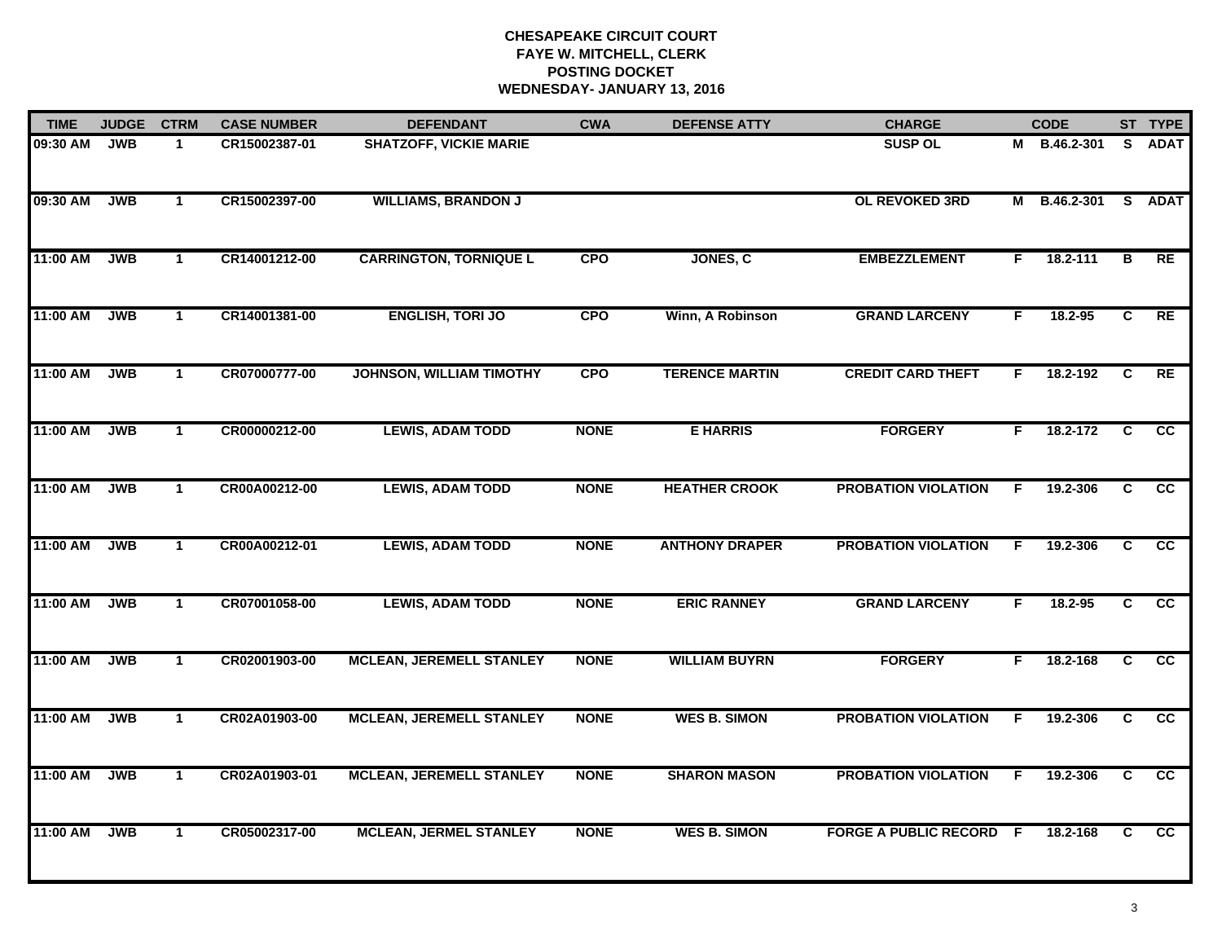| <b>TIME</b> | <b>JUDGE</b> | <b>CTRM</b>  | <b>CASE NUMBER</b> | <b>DEFENDANT</b>                | <b>CWA</b>  | <b>DEFENSE ATTY</b>   | <b>CHARGE</b>                  |    | <b>CODE</b>  |                | ST TYPE         |
|-------------|--------------|--------------|--------------------|---------------------------------|-------------|-----------------------|--------------------------------|----|--------------|----------------|-----------------|
| 09:30 AM    | <b>JWB</b>   | -1           | CR15002387-01      | <b>SHATZOFF, VICKIE MARIE</b>   |             |                       | <b>SUSP OL</b>                 |    | M B.46.2-301 | <b>S</b>       | <b>ADAT</b>     |
| 09:30 AM    | <b>JWB</b>   | $\mathbf{1}$ | CR15002397-00      | <b>WILLIAMS, BRANDON J</b>      |             |                       | OL REVOKED 3RD                 |    | M B.46.2-301 | S.             | <b>ADAT</b>     |
| 11:00 AM    | <b>JWB</b>   | $\mathbf{1}$ | CR14001212-00      | <b>CARRINGTON, TORNIQUE L</b>   | <b>CPO</b>  | JONES, C              | <b>EMBEZZLEMENT</b>            | F  | 18.2-111     | В              | RE              |
| 11:00 AM    | <b>JWB</b>   | $\mathbf{1}$ | CR14001381-00      | <b>ENGLISH, TORI JO</b>         | <b>CPO</b>  | Winn, A Robinson      | <b>GRAND LARCENY</b>           | F. | 18.2-95      | C              | RE              |
| 11:00 AM    | <b>JWB</b>   | $\mathbf{1}$ | CR07000777-00      | <b>JOHNSON, WILLIAM TIMOTHY</b> | <b>CPO</b>  | <b>TERENCE MARTIN</b> | <b>CREDIT CARD THEFT</b>       | F. | 18.2-192     | C              | RE              |
| 11:00 AM    | <b>JWB</b>   | $\mathbf{1}$ | CR00000212-00      | <b>LEWIS, ADAM TODD</b>         | <b>NONE</b> | <b>E HARRIS</b>       | <b>FORGERY</b>                 | F. | 18.2-172     | C              | <b>CC</b>       |
| 11:00 AM    | <b>JWB</b>   | $\mathbf{1}$ | CR00A00212-00      | <b>LEWIS, ADAM TODD</b>         | <b>NONE</b> | <b>HEATHER CROOK</b>  | <b>PROBATION VIOLATION</b>     | F. | 19.2-306     | $\overline{c}$ | $\overline{cc}$ |
| 11:00 AM    | <b>JWB</b>   | $\mathbf{1}$ | CR00A00212-01      | <b>LEWIS, ADAM TODD</b>         | <b>NONE</b> | <b>ANTHONY DRAPER</b> | <b>PROBATION VIOLATION</b>     | F  | 19.2-306     | C              | cc              |
| 11:00 AM    | <b>JWB</b>   | $\mathbf{1}$ | CR07001058-00      | <b>LEWIS, ADAM TODD</b>         | <b>NONE</b> | <b>ERIC RANNEY</b>    | <b>GRAND LARCENY</b>           | F. | 18.2-95      | C              | cc              |
| 11:00 AM    | <b>JWB</b>   | $\mathbf{1}$ | CR02001903-00      | <b>MCLEAN, JEREMELL STANLEY</b> | <b>NONE</b> | <b>WILLIAM BUYRN</b>  | <b>FORGERY</b>                 | F. | 18.2-168     | C              | cc              |
| 11:00 AM    | <b>JWB</b>   | $\mathbf 1$  | CR02A01903-00      | <b>MCLEAN, JEREMELL STANLEY</b> | <b>NONE</b> | <b>WES B. SIMON</b>   | <b>PROBATION VIOLATION</b>     | F. | 19.2-306     | C              | <b>CC</b>       |
| 11:00 AM    | <b>JWB</b>   | $\mathbf{1}$ | CR02A01903-01      | <b>MCLEAN, JEREMELL STANLEY</b> | <b>NONE</b> | <b>SHARON MASON</b>   | <b>PROBATION VIOLATION</b>     | F. | 19.2-306     | $\overline{c}$ | $\overline{cc}$ |
| 11:00 AM    | <b>JWB</b>   | $\mathbf{1}$ | CR05002317-00      | <b>MCLEAN, JERMEL STANLEY</b>   | <b>NONE</b> | <b>WES B. SIMON</b>   | <b>FORGE A PUBLIC RECORD F</b> |    | 18.2-168     | C.             | $\overline{cc}$ |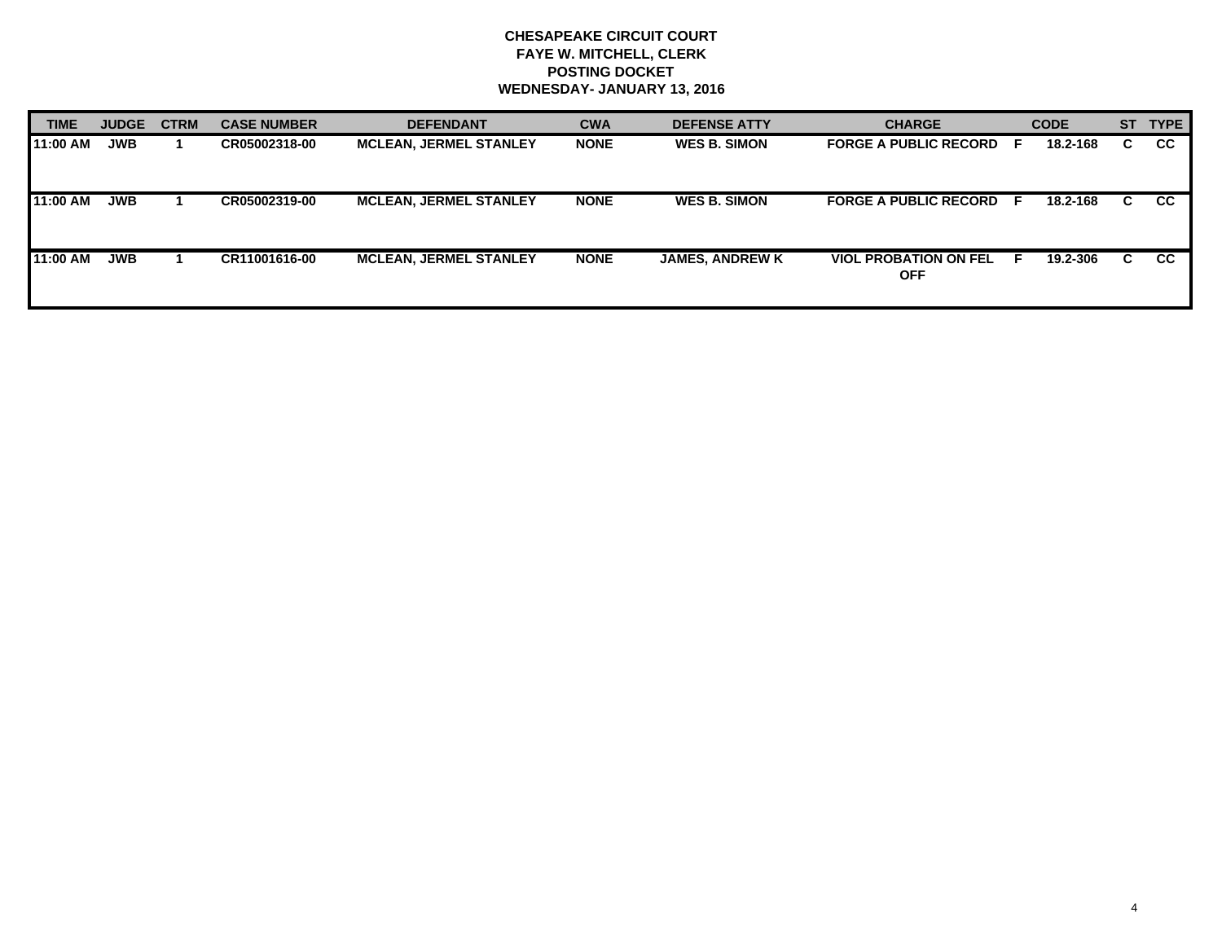| <b>TIME</b> | <b>JUDGE</b> | <b>CTRM</b> | <b>CASE NUMBER</b> | <b>DEFENDANT</b>              | <b>CWA</b>  | <b>DEFENSE ATTY</b>    | <b>CHARGE</b>                              | <b>CODE</b>    |    | ST TYPE   |
|-------------|--------------|-------------|--------------------|-------------------------------|-------------|------------------------|--------------------------------------------|----------------|----|-----------|
| 11:00 AM    | <b>JWB</b>   |             | CR05002318-00      | <b>MCLEAN, JERMEL STANLEY</b> | <b>NONE</b> | <b>WES B. SIMON</b>    | <b>FORGE A PUBLIC RECORD</b>               | 18.2-168<br>E  | C. | <b>CC</b> |
| 11:00 AM    | <b>JWB</b>   |             | CR05002319-00      | <b>MCLEAN, JERMEL STANLEY</b> | <b>NONE</b> | <b>WES B. SIMON</b>    | <b>FORGE A PUBLIC RECORD F</b>             | 18.2-168       | C. | <b>CC</b> |
| 11:00 AM    | <b>JWB</b>   |             | CR11001616-00      | <b>MCLEAN, JERMEL STANLEY</b> | <b>NONE</b> | <b>JAMES, ANDREW K</b> | <b>VIOL PROBATION ON FEL</b><br><b>OFF</b> | 19.2-306<br>н. | C. | <b>CC</b> |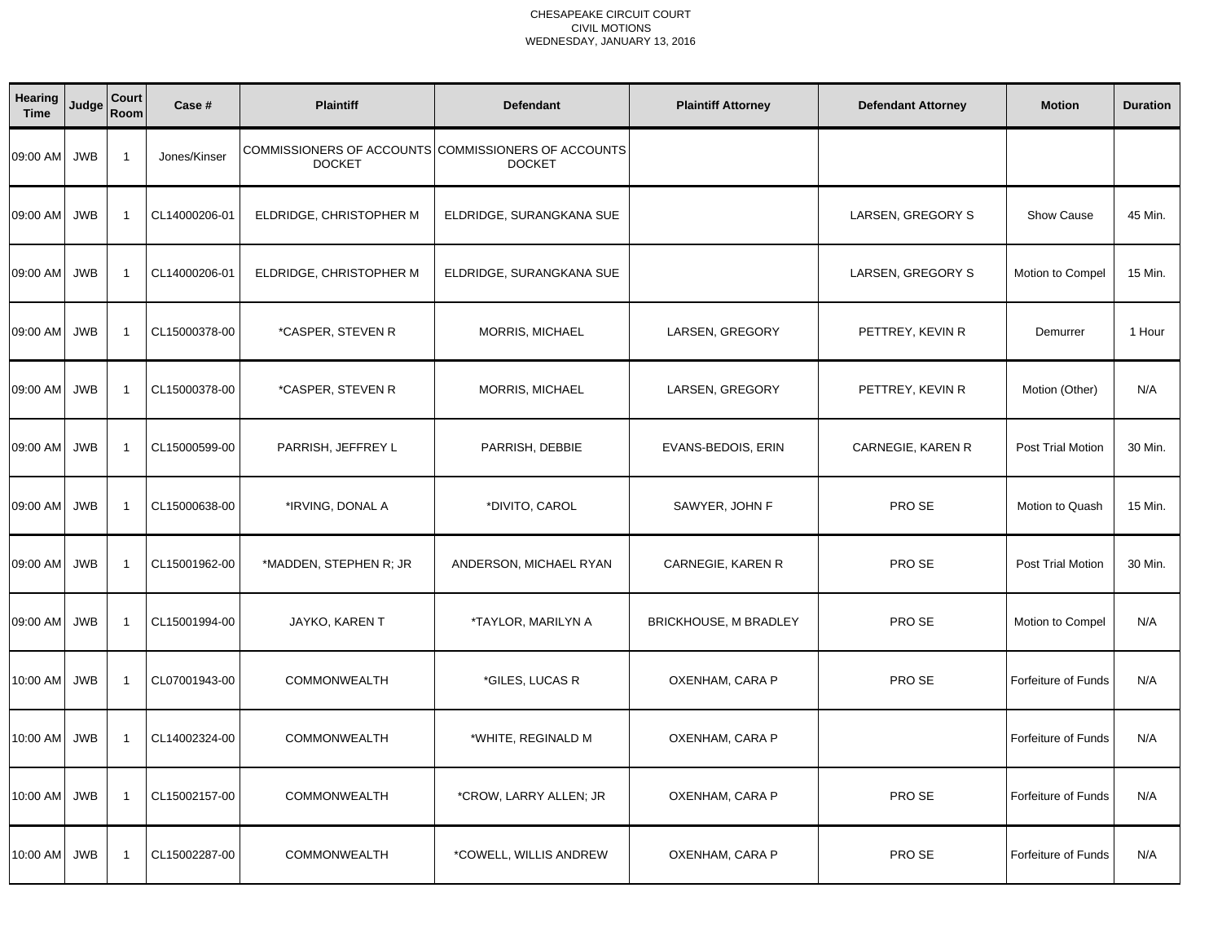| <b>Hearing</b><br><b>Time</b> | Judge      | Court<br>Room           | Case #        | <b>Plaintiff</b>        | <b>Defendant</b>                                                     | <b>Plaintiff Attorney</b>    | <b>Defendant Attorney</b> | <b>Motion</b>              | <b>Duration</b> |
|-------------------------------|------------|-------------------------|---------------|-------------------------|----------------------------------------------------------------------|------------------------------|---------------------------|----------------------------|-----------------|
| 09:00 AM                      | <b>JWB</b> | $\overline{1}$          | Jones/Kinser  | <b>DOCKET</b>           | COMMISSIONERS OF ACCOUNTS COMMISSIONERS OF ACCOUNTS<br><b>DOCKET</b> |                              |                           |                            |                 |
| 09:00 AM                      | <b>JWB</b> | -1                      | CL14000206-01 | ELDRIDGE, CHRISTOPHER M | ELDRIDGE, SURANGKANA SUE                                             |                              | LARSEN, GREGORY S         | <b>Show Cause</b>          | 45 Min.         |
| 09:00 AM                      | <b>JWB</b> | $\overline{1}$          | CL14000206-01 | ELDRIDGE, CHRISTOPHER M | ELDRIDGE, SURANGKANA SUE                                             |                              | LARSEN, GREGORY S         | Motion to Compel           | 15 Min.         |
| 09:00 AM                      | <b>JWB</b> | $\overline{1}$          | CL15000378-00 | *CASPER, STEVEN R       | MORRIS, MICHAEL                                                      | LARSEN, GREGORY              | PETTREY, KEVIN R          | Demurrer                   | 1 Hour          |
| 09:00 AM                      | <b>JWB</b> | $\overline{1}$          | CL15000378-00 | *CASPER, STEVEN R       | MORRIS, MICHAEL                                                      | LARSEN, GREGORY              | PETTREY, KEVIN R          | Motion (Other)             | N/A             |
| 09:00 AM                      | <b>JWB</b> | $\overline{1}$          | CL15000599-00 | PARRISH, JEFFREY L      | PARRISH, DEBBIE                                                      | EVANS-BEDOIS, ERIN           | CARNEGIE, KAREN R         | Post Trial Motion          | 30 Min.         |
| 09:00 AM                      | <b>JWB</b> | $\overline{1}$          | CL15000638-00 | *IRVING, DONAL A        | *DIVITO, CAROL                                                       | SAWYER, JOHN F               | PRO SE                    | Motion to Quash            | 15 Min.         |
| 09:00 AM                      | <b>JWB</b> | $\overline{1}$          | CL15001962-00 | *MADDEN, STEPHEN R; JR  | ANDERSON, MICHAEL RYAN                                               | CARNEGIE, KAREN R            | PRO SE                    | Post Trial Motion          | 30 Min.         |
| 09:00 AM                      | <b>JWB</b> | $\overline{1}$          | CL15001994-00 | JAYKO, KAREN T          | *TAYLOR, MARILYN A                                                   | <b>BRICKHOUSE, M BRADLEY</b> | PRO SE                    | Motion to Compel           | N/A             |
| 10:00 AM                      | <b>JWB</b> | $\overline{1}$          | CL07001943-00 | COMMONWEALTH            | *GILES, LUCAS R                                                      | OXENHAM, CARA P              | PRO SE                    | Forfeiture of Funds        | N/A             |
| 10:00 AM                      | <b>JWB</b> | $\overline{1}$          | CL14002324-00 | <b>COMMONWEALTH</b>     | *WHITE, REGINALD M                                                   | OXENHAM, CARA P              |                           | <b>Forfeiture of Funds</b> | N/A             |
| 10:00 AM                      | <b>JWB</b> | $\overline{1}$          | CL15002157-00 | COMMONWEALTH            | *CROW, LARRY ALLEN; JR                                               | OXENHAM, CARA P              | PRO SE                    | <b>Forfeiture of Funds</b> | N/A             |
| 10:00 AM                      | <b>JWB</b> | $\overline{\mathbf{1}}$ | CL15002287-00 | COMMONWEALTH            | *COWELL, WILLIS ANDREW                                               | OXENHAM, CARA P              | PRO SE                    | <b>Forfeiture of Funds</b> | N/A             |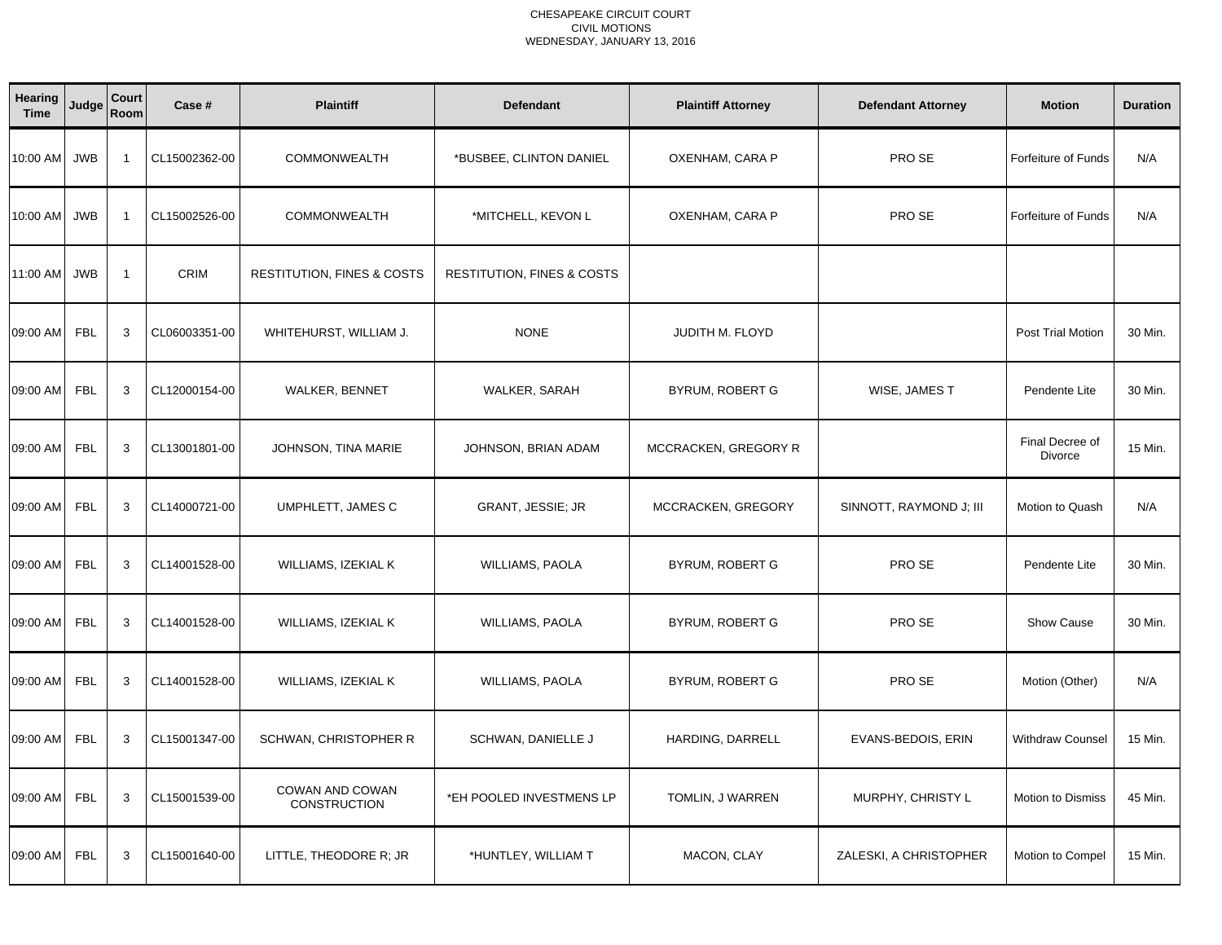| <b>Hearing</b><br><b>Time</b> | Judge      | Court<br>Room  | Case #        | <b>Plaintiff</b>                       | <b>Defendant</b>                      | <b>Plaintiff Attorney</b> | <b>Defendant Attorney</b> | <b>Motion</b>              | <b>Duration</b> |
|-------------------------------|------------|----------------|---------------|----------------------------------------|---------------------------------------|---------------------------|---------------------------|----------------------------|-----------------|
| 10:00 AM                      | <b>JWB</b> | $\overline{1}$ | CL15002362-00 | COMMONWEALTH                           | *BUSBEE, CLINTON DANIEL               | OXENHAM, CARA P           | PRO SE                    | Forfeiture of Funds        | N/A             |
| 10:00 AM                      | <b>JWB</b> | $\overline{1}$ | CL15002526-00 | COMMONWEALTH                           | *MITCHELL, KEVON L                    | OXENHAM, CARA P           | PRO SE                    | <b>Forfeiture of Funds</b> | N/A             |
| 11:00 AM                      | <b>JWB</b> | $\overline{1}$ | <b>CRIM</b>   | <b>RESTITUTION, FINES &amp; COSTS</b>  | <b>RESTITUTION, FINES &amp; COSTS</b> |                           |                           |                            |                 |
| 09:00 AM                      | <b>FBL</b> | 3              | CL06003351-00 | WHITEHURST, WILLIAM J.                 | <b>NONE</b>                           | <b>JUDITH M. FLOYD</b>    |                           | Post Trial Motion          | 30 Min.         |
| 09:00 AM                      | <b>FBL</b> | 3              | CL12000154-00 | <b>WALKER, BENNET</b>                  | WALKER, SARAH                         | <b>BYRUM, ROBERT G</b>    | WISE, JAMES T             | Pendente Lite              | 30 Min.         |
| 09:00 AM                      | <b>FBL</b> | 3              | CL13001801-00 | JOHNSON, TINA MARIE                    | JOHNSON, BRIAN ADAM                   | MCCRACKEN, GREGORY R      |                           | Final Decree of<br>Divorce | 15 Min.         |
| 09:00 AM                      | <b>FBL</b> | 3              | CL14000721-00 | UMPHLETT, JAMES C                      | GRANT, JESSIE; JR                     | MCCRACKEN, GREGORY        | SINNOTT, RAYMOND J; III   | Motion to Quash            | N/A             |
| 09:00 AM                      | <b>FBL</b> | 3              | CL14001528-00 | WILLIAMS, IZEKIAL K                    | WILLIAMS, PAOLA                       | BYRUM, ROBERT G           | PRO SE                    | Pendente Lite              | 30 Min.         |
| 09:00 AM                      | <b>FBL</b> | 3              | CL14001528-00 | WILLIAMS, IZEKIAL K                    | <b>WILLIAMS, PAOLA</b>                | BYRUM, ROBERT G           | PRO SE                    | Show Cause                 | 30 Min.         |
| 09:00 AM                      | <b>FBL</b> | 3              | CL14001528-00 | WILLIAMS, IZEKIAL K                    | <b>WILLIAMS, PAOLA</b>                | BYRUM, ROBERT G           | PRO SE                    | Motion (Other)             | N/A             |
| 09:00 AM                      | <b>FBL</b> | 3              | CL15001347-00 | SCHWAN, CHRISTOPHER R                  | SCHWAN, DANIELLE J                    | HARDING, DARRELL          | EVANS-BEDOIS, ERIN        | <b>Withdraw Counsel</b>    | 15 Min.         |
| 09:00 AM                      | <b>FBL</b> | 3              | CL15001539-00 | COWAN AND COWAN<br><b>CONSTRUCTION</b> | *EH POOLED INVESTMENS LP              | TOMLIN, J WARREN          | MURPHY, CHRISTY L         | Motion to Dismiss          | 45 Min.         |
| 09:00 AM                      | <b>FBL</b> | 3              | CL15001640-00 | LITTLE, THEODORE R; JR                 | *HUNTLEY, WILLIAM T                   | MACON, CLAY               | ZALESKI, A CHRISTOPHER    | Motion to Compel           | 15 Min.         |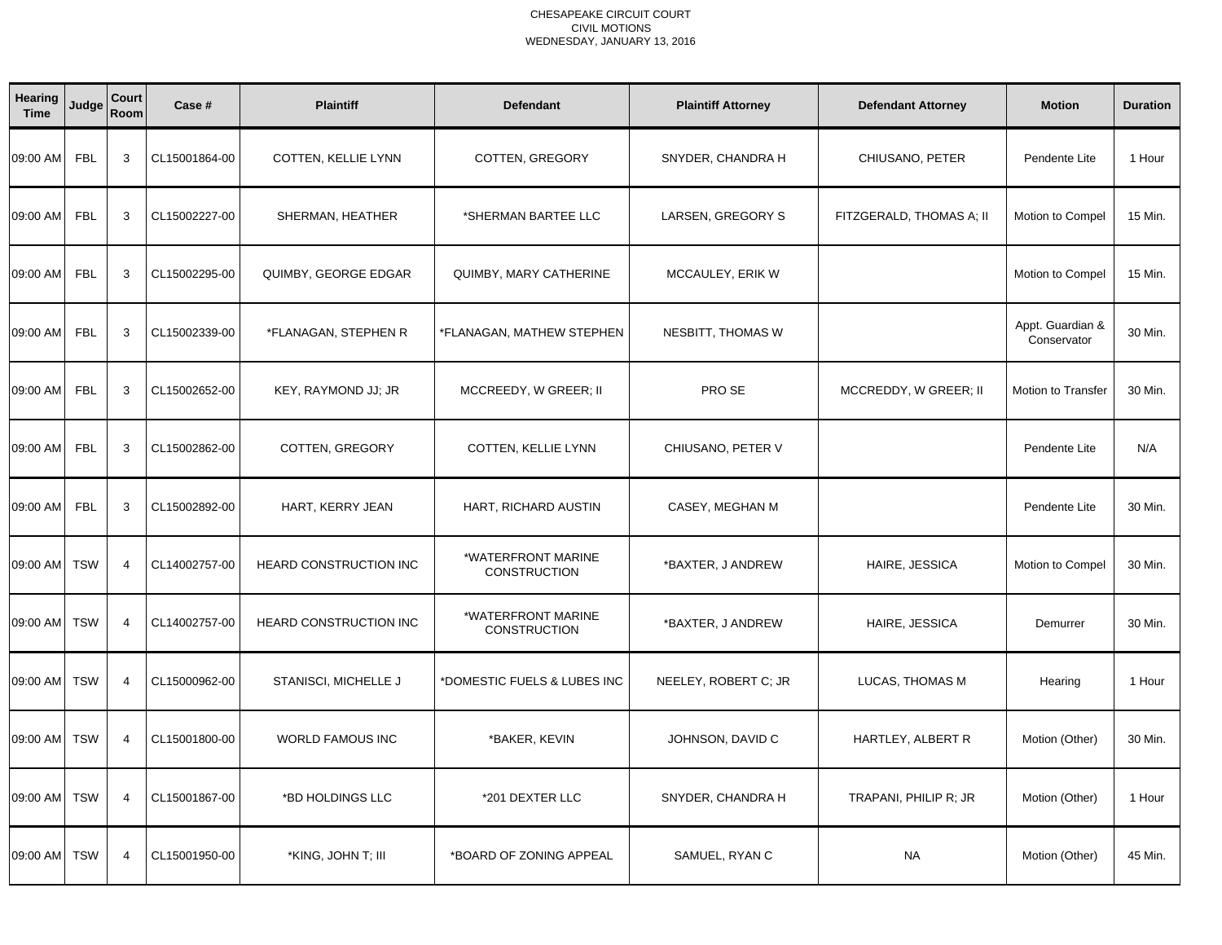| <b>Hearing</b><br><b>Time</b> | Judge      | Court<br>Room  | Case #        | <b>Plaintiff</b>        | <b>Defendant</b>                          | <b>Plaintiff Attorney</b> | <b>Defendant Attorney</b> | <b>Motion</b>                   | <b>Duration</b> |
|-------------------------------|------------|----------------|---------------|-------------------------|-------------------------------------------|---------------------------|---------------------------|---------------------------------|-----------------|
| 09:00 AM                      | <b>FBL</b> | 3              | CL15001864-00 | COTTEN, KELLIE LYNN     | COTTEN, GREGORY                           | SNYDER, CHANDRA H         | CHIUSANO, PETER           | Pendente Lite                   | 1 Hour          |
| 09:00 AM                      | <b>FBL</b> | 3              | CL15002227-00 | SHERMAN, HEATHER        | *SHERMAN BARTEE LLC                       | LARSEN, GREGORY S         | FITZGERALD, THOMAS A; II  | Motion to Compel                | 15 Min.         |
| 09:00 AM                      | <b>FBL</b> | 3              | CL15002295-00 | QUIMBY, GEORGE EDGAR    | QUIMBY, MARY CATHERINE                    | MCCAULEY, ERIK W          |                           | Motion to Compel                | 15 Min.         |
| 09:00 AM                      | <b>FBL</b> | 3              | CL15002339-00 | *FLANAGAN, STEPHEN R    | *FLANAGAN, MATHEW STEPHEN                 | NESBITT, THOMAS W         |                           | Appt. Guardian &<br>Conservator | 30 Min.         |
| 09:00 AM                      | <b>FBL</b> | 3              | CL15002652-00 | KEY, RAYMOND JJ; JR     | MCCREEDY, W GREER; II                     | PRO SE                    | MCCREDDY, W GREER; II     | <b>Motion to Transfer</b>       | 30 Min.         |
| 09:00 AM                      | <b>FBL</b> | 3              | CL15002862-00 | COTTEN, GREGORY         | COTTEN, KELLIE LYNN                       | CHIUSANO, PETER V         |                           | Pendente Lite                   | N/A             |
| 09:00 AM                      | <b>FBL</b> | 3              | CL15002892-00 | HART, KERRY JEAN        | HART, RICHARD AUSTIN                      | CASEY, MEGHAN M           |                           | Pendente Lite                   | 30 Min.         |
| 09:00 AM                      | <b>TSW</b> | $\overline{4}$ | CL14002757-00 | HEARD CONSTRUCTION INC  | *WATERFRONT MARINE<br><b>CONSTRUCTION</b> | *BAXTER, J ANDREW         | HAIRE, JESSICA            | Motion to Compel                | 30 Min.         |
| 09:00 AM                      | <b>TSW</b> | $\overline{4}$ | CL14002757-00 | HEARD CONSTRUCTION INC  | *WATERFRONT MARINE<br>CONSTRUCTION        | *BAXTER, J ANDREW         | HAIRE, JESSICA            | Demurrer                        | 30 Min.         |
| 09:00 AM                      | <b>TSW</b> | $\overline{4}$ | CL15000962-00 | STANISCI, MICHELLE J    | *DOMESTIC FUELS & LUBES INC               | NEELEY, ROBERT C; JR      | LUCAS, THOMAS M           | Hearing                         | 1 Hour          |
| 09:00 AM                      | <b>TSW</b> | $\overline{4}$ | CL15001800-00 | <b>WORLD FAMOUS INC</b> | *BAKER, KEVIN                             | JOHNSON, DAVID C          | HARTLEY, ALBERT R         | Motion (Other)                  | 30 Min.         |
| 09:00 AM                      | <b>TSW</b> | $\overline{4}$ | CL15001867-00 | *BD HOLDINGS LLC        | *201 DEXTER LLC                           | SNYDER, CHANDRA H         | TRAPANI, PHILIP R; JR     | Motion (Other)                  | 1 Hour          |
| 09:00 AM                      | <b>TSW</b> | $\overline{4}$ | CL15001950-00 | *KING, JOHN T; III      | *BOARD OF ZONING APPEAL                   | SAMUEL, RYAN C            | <b>NA</b>                 | Motion (Other)                  | 45 Min.         |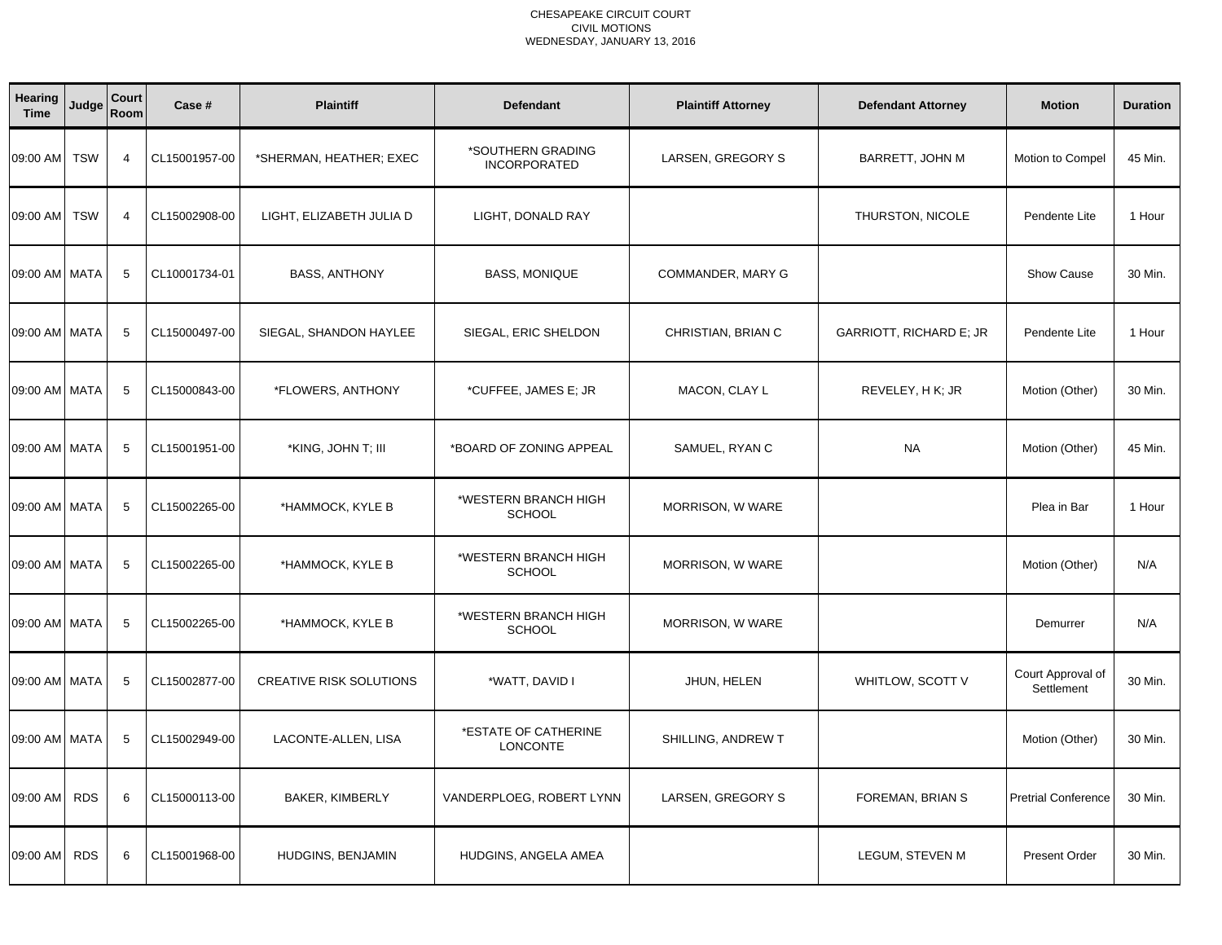| Hearing<br><b>Time</b> | Judge      | Court<br>Room  | Case #        | <b>Plaintiff</b>               | <b>Defendant</b>                         | <b>Plaintiff Attorney</b> | <b>Defendant Attorney</b> | <b>Motion</b>                   | <b>Duration</b> |
|------------------------|------------|----------------|---------------|--------------------------------|------------------------------------------|---------------------------|---------------------------|---------------------------------|-----------------|
| 09:00 AM               | <b>TSW</b> | $\overline{4}$ | CL15001957-00 | *SHERMAN, HEATHER; EXEC        | *SOUTHERN GRADING<br><b>INCORPORATED</b> | LARSEN, GREGORY S         | <b>BARRETT, JOHN M</b>    | Motion to Compel                | 45 Min.         |
| 09:00 AM               | <b>TSW</b> | $\overline{4}$ | CL15002908-00 | LIGHT, ELIZABETH JULIA D       | LIGHT, DONALD RAY                        |                           | THURSTON, NICOLE          | Pendente Lite                   | 1 Hour          |
| 09:00 AM MATA          |            | 5              | CL10001734-01 | <b>BASS, ANTHONY</b>           | <b>BASS, MONIQUE</b>                     | COMMANDER, MARY G         |                           | Show Cause                      | 30 Min.         |
| 09:00 AM MATA          |            | 5              | CL15000497-00 | SIEGAL, SHANDON HAYLEE         | SIEGAL, ERIC SHELDON                     | CHRISTIAN, BRIAN C        | GARRIOTT, RICHARD E; JR   | Pendente Lite                   | 1 Hour          |
| 09:00 AM MATA          |            | 5              | CL15000843-00 | *FLOWERS, ANTHONY              | *CUFFEE, JAMES E; JR                     | MACON, CLAY L             | REVELEY, H K; JR          | Motion (Other)                  | 30 Min.         |
| 09:00 AM MATA          |            | 5              | CL15001951-00 | *KING, JOHN T; III             | *BOARD OF ZONING APPEAL                  | SAMUEL, RYAN C            | <b>NA</b>                 | Motion (Other)                  | 45 Min.         |
| 09:00 AM MATA          |            | 5              | CL15002265-00 | *HAMMOCK, KYLE B               | *WESTERN BRANCH HIGH<br>SCHOOL           | MORRISON, W WARE          |                           | Plea in Bar                     | 1 Hour          |
| 09:00 AM MATA          |            | 5              | CL15002265-00 | *HAMMOCK, KYLE B               | *WESTERN BRANCH HIGH<br><b>SCHOOL</b>    | MORRISON, W WARE          |                           | Motion (Other)                  | N/A             |
| 09:00 AM MATA          |            | 5              | CL15002265-00 | *HAMMOCK, KYLE B               | *WESTERN BRANCH HIGH<br><b>SCHOOL</b>    | MORRISON, W WARE          |                           | Demurrer                        | N/A             |
| 09:00 AM MATA          |            | 5              | CL15002877-00 | <b>CREATIVE RISK SOLUTIONS</b> | *WATT, DAVID I                           | JHUN, HELEN               | WHITLOW, SCOTT V          | Court Approval of<br>Settlement | 30 Min.         |
| 09:00 AM MATA          |            | 5              | CL15002949-00 | LACONTE-ALLEN, LISA            | *ESTATE OF CATHERINE<br><b>LONCONTE</b>  | SHILLING, ANDREW T        |                           | Motion (Other)                  | 30 Min.         |
| 09:00 AM               | <b>RDS</b> | 6              | CL15000113-00 | <b>BAKER, KIMBERLY</b>         | VANDERPLOEG, ROBERT LYNN                 | LARSEN, GREGORY S         | FOREMAN, BRIAN S          | <b>Pretrial Conference</b>      | 30 Min.         |
| 09:00 AM               | <b>RDS</b> | 6              | CL15001968-00 | HUDGINS, BENJAMIN              | HUDGINS, ANGELA AMEA                     |                           | LEGUM, STEVEN M           | <b>Present Order</b>            | 30 Min.         |